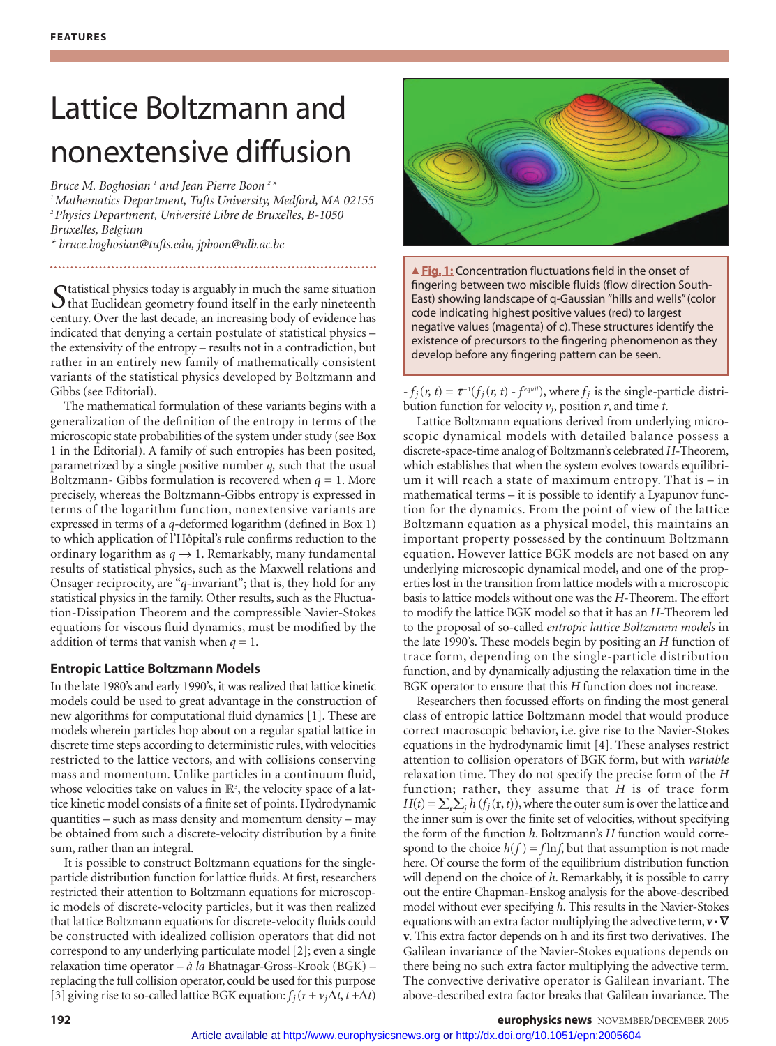## Lattice Boltzmann and nonextensive diffusion

*Bruce M. Boghosian 1 and Jean Pierre Boon 2 \**

*1 Mathematics Department, Tufts University, Medford, MA 02155 2 Physics Department, Université Libre de Bruxelles, B-1050 Bruxelles, Belgium* 

*\* bruce.boghosian@tufts.edu, jpboon@ulb.ac.be* 

**S**tatistical physics today is arguably in much the same situation that Euclidean geometry found itself in the early nineteenth century. Over the last decade, an increasing body of evidence has indicated that denying a certain postulate of statistical physics – the extensivity of the entropy – results not in a contradiction, but rather in an entirely new family of mathematically consistent variants of the statistical physics developed by Boltzmann and Gibbs (see Editorial).

The mathematical formulation of these variants begins with a generalization of the definition of the entropy in terms of the microscopic state probabilities of the system under study (see Box 1 in the Editorial). A family of such entropies has been posited, parametrized by a single positive number *q,* such that the usual Boltzmann- Gibbs formulation is recovered when *q* = 1. More precisely, whereas the Boltzmann-Gibbs entropy is expressed in terms of the logarithm function, nonextensive variants are expressed in terms of a *q*-deformed logarithm (defined in Box 1) to which application of l'Hôpital's rule confirms reduction to the ordinary logarithm as  $q \rightarrow 1$ . Remarkably, many fundamental results of statistical physics, such as the Maxwell relations and Onsager reciprocity, are "*q*-invariant"; that is, they hold for any statistical physics in the family. Other results, such as the Fluctuation-Dissipation Theorem and the compressible Navier-Stokes equations for viscous fluid dynamics, must be modified by the addition of terms that vanish when  $q = 1$ .

### **Entropic Lattice Boltzmann Models**

In the late 1980's and early 1990's, it was realized that lattice kinetic models could be used to great advantage in the construction of new algorithms for computational fluid dynamics [1]. These are models wherein particles hop about on a regular spatial lattice in discrete time steps according to deterministic rules, with velocities restricted to the lattice vectors, and with collisions conserving mass and momentum. Unlike particles in a continuum fluid, whose velocities take on values in  $\mathbb{R}^3$ , the velocity space of a lattice kinetic model consists of a finite set of points. Hydrodynamic quantities – such as mass density and momentum density – may be obtained from such a discrete-velocity distribution by a finite sum, rather than an integral.

It is possible to construct Boltzmann equations for the singleparticle distribution function for lattice fluids. At first, researchers restricted their attention to Boltzmann equations for microscopic models of discrete-velocity particles, but it was then realized that lattice Boltzmann equations for discrete-velocity fluids could be constructed with idealized collision operators that did not correspond to any underlying particulate model [2]; even a single relaxation time operator – *à la* Bhatnagar-Gross-Krook (BGK) – replacing the full collision operator, could be used for this purpose [3] giving rise to so-called lattice BGK equation:  $f_i(r + v_i \Delta t, t + \Delta t)$ 



▲ Fig. 1: Concentration fluctuations field in the onset of fingering between two miscible fluids (flow direction South-East) showing landscape of q-Gaussian "hills and wells" (color code indicating highest positive values (red) to largest negative values (magenta) of c).These structures identify the existence of precursors to the fingering phenomenon as they develop before any fingering pattern can be seen.

 $-f_j(r, t) = \tau^{-1}(f_j(r, t) - f^{equil})$ , where  $f_j$  is the single-particle distribution function for velocity *vj*, position *r*, and time *t*.

Lattice Boltzmann equations derived from underlying microscopic dynamical models with detailed balance possess a discrete-space-time analog of Boltzmann's celebrated *H*-Theorem, which establishes that when the system evolves towards equilibrium it will reach a state of maximum entropy. That is – in mathematical terms – it is possible to identify a Lyapunov function for the dynamics. From the point of view of the lattice Boltzmann equation as a physical model, this maintains an important property possessed by the continuum Boltzmann equation. However lattice BGK models are not based on any underlying microscopic dynamical model, and one of the properties lost in the transition from lattice models with a microscopic basis to lattice models without one was the *H*-Theorem. The effort to modify the lattice BGK model so that it has an *H*-Theorem led to the proposal of so-called *entropic lattice Boltzmann models* in the late 1990's. These models begin by positing an *H* function of trace form, depending on the single-particle distribution function, and by dynamically adjusting the relaxation time in the BGK operator to ensure that this *H* function does not increase.

Researchers then focussed efforts on finding the most general class of entropic lattice Boltzmann model that would produce correct macroscopic behavior, i.e. give rise to the Navier-Stokes equations in the hydrodynamic limit [4]. These analyses restrict attention to collision operators of BGK form, but with *variable* relaxation time. They do not specify the precise form of the *H* function; rather, they assume that *H* is of trace form  $H(t) = \sum_{\mathbf{r}} \sum_i h(f_j(\mathbf{r}, t))$ , where the outer sum is over the lattice and the inner sum is over the finite set of velocities, without specifying the form of the function *h*. Boltzmann's *H* function would correspond to the choice  $h(f) = f \ln f$ , but that assumption is not made here. Of course the form of the equilibrium distribution function will depend on the choice of *h*. Remarkably, it is possible to carry out the entire Chapman-Enskog analysis for the above-described model without ever specifying *h*. This results in the Navier-Stokes equations with an extra factor multiplying the advective term, **v ·** ∇ **v**. This extra factor depends on h and its first two derivatives. The Galilean invariance of the Navier-Stokes equations depends on there being no such extra factor multiplying the advective term. The convective derivative operator is Galilean invariant. The above-described extra factor breaks that Galilean invariance. The

**192 europhysics news** NOVEMBER/DECEMBER 2005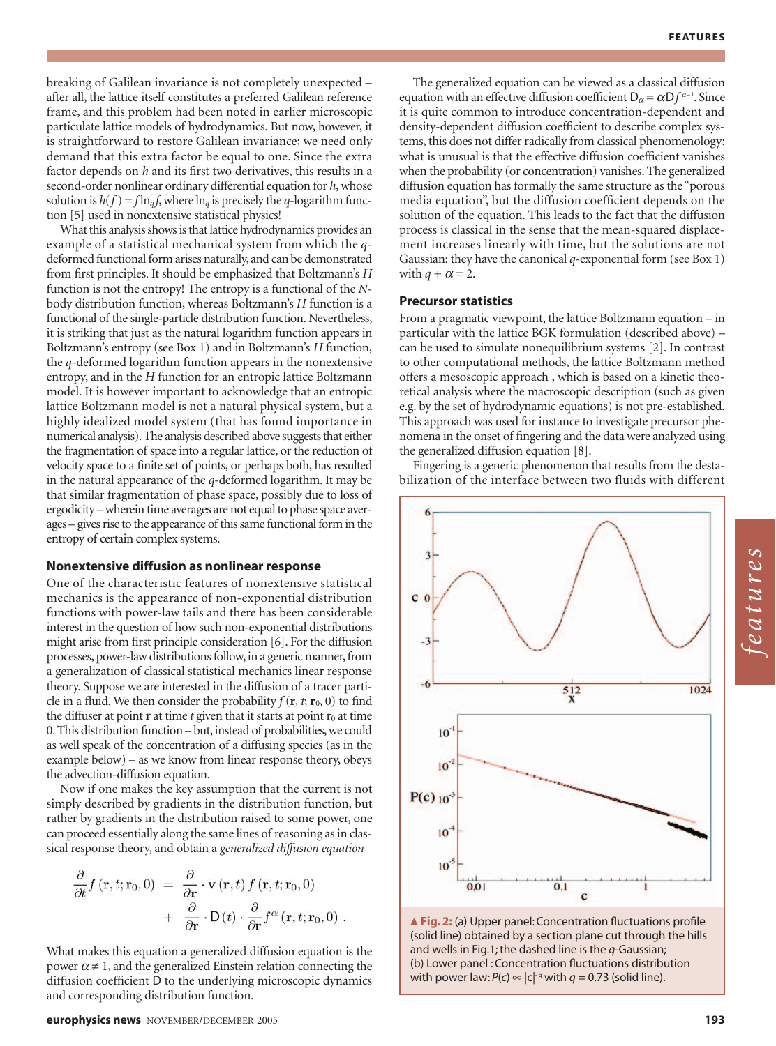breaking of Galilean invariance is not completely unexpected – after all, the lattice itself constitutes a preferred Galilean reference frame, and this problem had been noted in earlier microscopic particulate lattice models of hydrodynamics. But now, however, it is straightforward to restore Galilean invariance; we need only demand that this extra factor be equal to one. Since the extra factor depends on *h* and its first two derivatives, this results in a second-order nonlinear ordinary differential equation for *h*, whose solution is  $h(f) = f \ln_q f$ , where  $\ln_q$  is precisely the *q*-logarithm function [5] used in nonextensive statistical physics!

What this analysis shows is that lattice hydrodynamics provides an example of a statistical mechanical system from which the *q*deformed functional form arises naturally, and can be demonstrated from first principles. It should be emphasized that Boltzmann's *H* function is not the entropy! The entropy is a functional of the *N*body distribution function, whereas Boltzmann's *H* function is a functional of the single-particle distribution function. Nevertheless, it is striking that just as the natural logarithm function appears in Boltzmann's entropy (see Box 1) and in Boltzmann's *H* function, the *q*-deformed logarithm function appears in the nonextensive entropy, and in the *H* function for an entropic lattice Boltzmann model. It is however important to acknowledge that an entropic lattice Boltzmann model is not a natural physical system, but a highly idealized model system (that has found importance in numerical analysis).The analysis described above suggests that either the fragmentation of space into a regular lattice, or the reduction of velocity space to a finite set of points, or perhaps both, has resulted in the natural appearance of the *q*-deformed logarithm. It may be that similar fragmentation of phase space, possibly due to loss of ergodicity – wherein time averages are not equal to phase space averages – gives rise to the appearance of this same functional form in the entropy of certain complex systems.

#### **Nonextensive diffusion as nonlinear response**

One of the characteristic features of nonextensive statistical mechanics is the appearance of non-exponential distribution functions with power-law tails and there has been considerable interest in the question of how such non-exponential distributions might arise from first principle consideration [6]. For the diffusion processes, power-law distributions follow, in a generic manner, from a generalization of classical statistical mechanics linear response theory. Suppose we are interested in the diffusion of a tracer particle in a fluid. We then consider the probability  $f(\mathbf{r}, t; \mathbf{r}_0, 0)$  to find the diffuser at point  $\mathbf r$  at time  $t$  given that it starts at point  $\mathbf r_0$  at time 0.This distribution function – but, instead of probabilities, we could as well speak of the concentration of a diffusing species (as in the example below) – as we know from linear response theory, obeys the advection-diffusion equation.

Now if one makes the key assumption that the current is not simply described by gradients in the distribution function, but rather by gradients in the distribution raised to some power, one can proceed essentially along the same lines of reasoning as in classical response theory, and obtain a *generalized diffusion equation*

$$
\frac{\partial}{\partial t} f(\mathbf{r}, t; \mathbf{r}_0, 0) = \frac{\partial}{\partial \mathbf{r}} \cdot \mathbf{v}(\mathbf{r}, t) f(\mathbf{r}, t; \mathbf{r}_0, 0) \n+ \frac{\partial}{\partial \mathbf{r}} \cdot \mathbf{D}(t) \cdot \frac{\partial}{\partial \mathbf{r}} f^{\alpha}(\mathbf{r}, t; \mathbf{r}_0, 0)
$$

What makes this equation a generalized diffusion equation is the power  $\alpha \neq 1$ , and the generalized Einstein relation connecting the diffusion coefficient D to the underlying microscopic dynamics and corresponding distribution function.

The generalized equation can be viewed as a classical diffusion equation with an effective diffusion coefficient  $D_{\alpha} = \alpha D f^{\alpha-1}$ . Since it is quite common to introduce concentration-dependent and density-dependent diffusion coefficient to describe complex systems, this does not differ radically from classical phenomenology: what is unusual is that the effective diffusion coefficient vanishes when the probability (or concentration) vanishes. The generalized diffusion equation has formally the same structure as the "porous media equation", but the diffusion coefficient depends on the solution of the equation. This leads to the fact that the diffusion process is classical in the sense that the mean-squared displacement increases linearly with time, but the solutions are not Gaussian: they have the canonical *q*-exponential form (see Box 1) with  $q + \alpha = 2$ .

#### **Precursor statistics**

From a pragmatic viewpoint, the lattice Boltzmann equation – in particular with the lattice BGK formulation (described above) – can be used to simulate nonequilibrium systems [2]. In contrast to other computational methods, the lattice Boltzmann method offers a mesoscopic approach , which is based on a kinetic theoretical analysis where the macroscopic description (such as given e.g. by the set of hydrodynamic equations) is not pre-established. This approach was used for instance to investigate precursor phenomena in the onset of fingering and the data were analyzed using the generalized diffusion equation [8].

Fingering is a generic phenomenon that results from the destabilization of the interface between two fluids with different